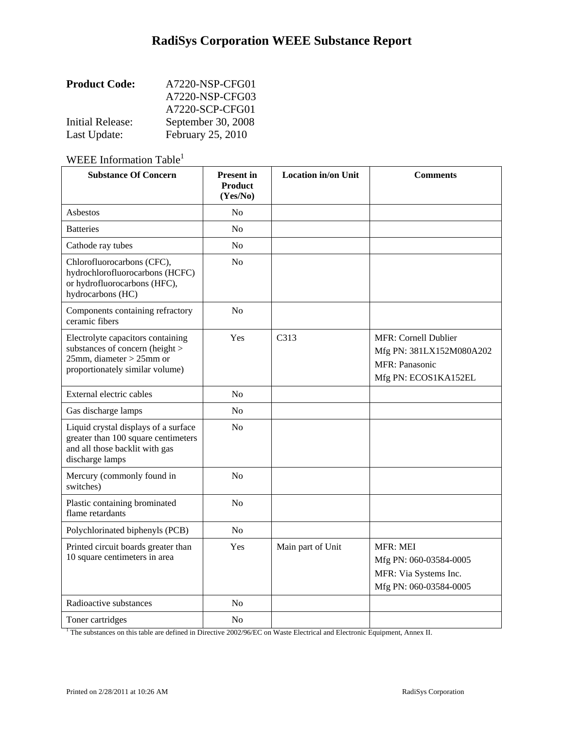| <b>Product Code:</b>    | A7220-NSP-CFG01    |
|-------------------------|--------------------|
|                         | A7220-NSP-CFG03    |
|                         | A7220-SCP-CFG01    |
| <b>Initial Release:</b> | September 30, 2008 |
| Last Update:            | February 25, 2010  |

WEEE Information Table<sup>1</sup>

| <b>Substance Of Concern</b>                                                                                                                               | <b>Present in</b><br><b>Product</b><br>(Yes/No) | Location in/on Unit | <b>Comments</b>                                                                              |
|-----------------------------------------------------------------------------------------------------------------------------------------------------------|-------------------------------------------------|---------------------|----------------------------------------------------------------------------------------------|
| Asbestos                                                                                                                                                  | No                                              |                     |                                                                                              |
| <b>Batteries</b>                                                                                                                                          | No                                              |                     |                                                                                              |
| Cathode ray tubes                                                                                                                                         | No                                              |                     |                                                                                              |
| Chlorofluorocarbons (CFC),<br>hydrochlorofluorocarbons (HCFC)<br>or hydrofluorocarbons (HFC),<br>hydrocarbons (HC)                                        | No                                              |                     |                                                                                              |
| Components containing refractory<br>ceramic fibers                                                                                                        | No                                              |                     |                                                                                              |
| Electrolyte capacitors containing<br>substances of concern (height ><br>$25$ mm, diameter > $25$ mm or<br>proportionately similar volume)                 | Yes                                             | C313                | MFR: Cornell Dublier<br>Mfg PN: 381LX152M080A202<br>MFR: Panasonic<br>Mfg PN: ECOS1KA152EL   |
| External electric cables                                                                                                                                  | No                                              |                     |                                                                                              |
| Gas discharge lamps                                                                                                                                       | N <sub>0</sub>                                  |                     |                                                                                              |
| Liquid crystal displays of a surface<br>greater than 100 square centimeters<br>and all those backlit with gas<br>discharge lamps                          | No                                              |                     |                                                                                              |
| Mercury (commonly found in<br>switches)                                                                                                                   | No                                              |                     |                                                                                              |
| Plastic containing brominated<br>flame retardants                                                                                                         | N <sub>o</sub>                                  |                     |                                                                                              |
| Polychlorinated biphenyls (PCB)                                                                                                                           | N <sub>o</sub>                                  |                     |                                                                                              |
| Printed circuit boards greater than<br>10 square centimeters in area                                                                                      | Yes                                             | Main part of Unit   | <b>MFR: MEI</b><br>Mfg PN: 060-03584-0005<br>MFR: Via Systems Inc.<br>Mfg PN: 060-03584-0005 |
| Radioactive substances                                                                                                                                    | No                                              |                     |                                                                                              |
| Toner cartridges<br><sup>1</sup> The substances on this table are defined in Directive 2002/96/EC on Waste Electrical and Electronic Equipment, Annex II. | No                                              |                     |                                                                                              |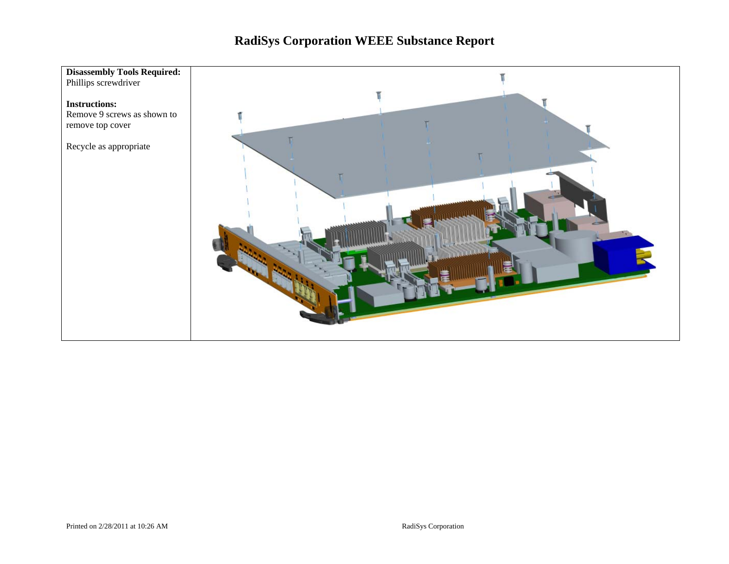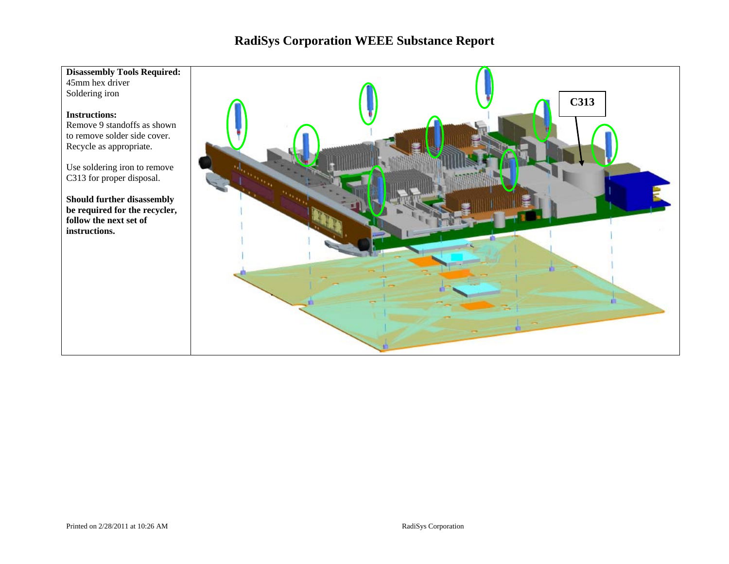### **Disassembly Tools Required:**

45mm hex driver Soldering iron

#### **Instructions:**

Remove 9 standoffs as shown to remove solder side cover. Recycle as appropriate.

Use soldering iron to remove C313 for proper disposal.

**Should further disassembly be required for the recycler, follow the next set of instructions.** 

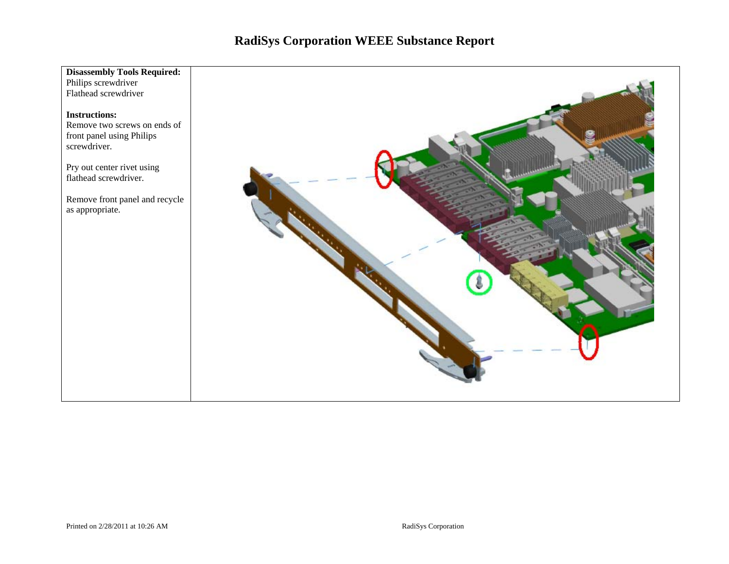### **Disassembly Tools Required:**

Philips screwdriver Flathead screwdriver

#### **Instructions:**

Remove two screws on ends of front panel using Philips screwdriver.

Pry out center rivet using flathead screwdriver.

Remove front panel and recycle as appropriate.

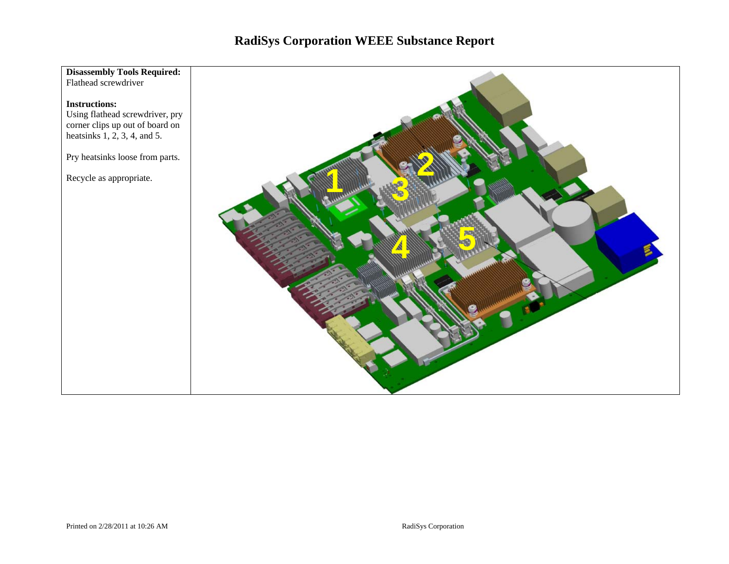